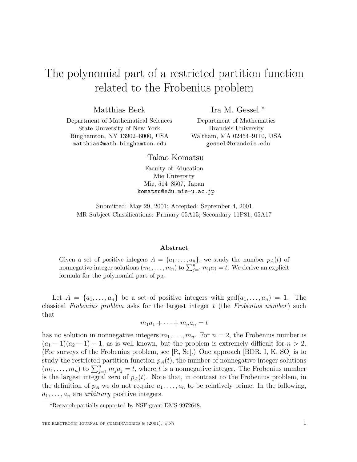## The polynomial part of a restricted partition function related to the Frobenius problem

Matthias Beck

Ira M. Gessel <sup>∗</sup>

Department of Mathematical Sciences State University of New York Binghamton, NY 13902–6000, USA matthias@math.binghamton.edu

Department of Mathematics Brandeis University Waltham, MA 02454–9110, USA gessel@brandeis.edu

Takao Komatsu

Faculty of Education Mie University Mie, 514–8507, Japan komatsu@edu.mie-u.ac.jp

Submitted: May 29, 2001; Accepted: September 4, 2001 MR Subject Classifications: Primary 05A15; Secondary 11P81, 05A17

## **Abstract**

Given a set of positive integers  $A = \{a_1, \ldots, a_n\}$ , we study the number  $p_A(t)$  of nonnegative integer solutions  $(m_1, \ldots, m_n)$  to  $\sum_{j=1}^n m_j a_j = t$ . We derive an explicit formula for the polynomial part of  $p_A$ .

Let  $A = \{a_1, \ldots, a_n\}$  be a set of positive integers with  $gcd(a_1, \ldots, a_n) = 1$ . The classical Frobenius problem asks for the largest integer  $t$  (the Frobenius number) such that

$$
m_1a_1 + \cdots + m_na_n = t
$$

has no solution in nonnegative integers  $m_1, \ldots, m_n$ . For  $n = 2$ , the Frobenius number is  $(a_1 - 1)(a_2 - 1) - 1$ , as is well known, but the problem is extremely difficult for  $n > 2$ . (For surveys of the Frobenius problem, see  $[R, Se]$ .) One approach  $[BDR, I, K, SO]$  is to study the restricted partition function  $p_A(t)$ , the number of nonnegative integer solutions  $(m_1, \ldots, m_n)$  to  $\sum_{j=1}^n m_j a_j = t$ , where t is a nonnegative integer. The Frobenius number is the largest integral zero of  $p_A(t)$ . Note that, in contrast to the Frobenius problem, in the definition of  $p_A$  we do not require  $a_1,\ldots,a_n$  to be relatively prime. In the following,  $a_1, \ldots, a_n$  are *arbitrary* positive integers.

<sup>∗</sup>Research partially supported by NSF grant DMS-9972648.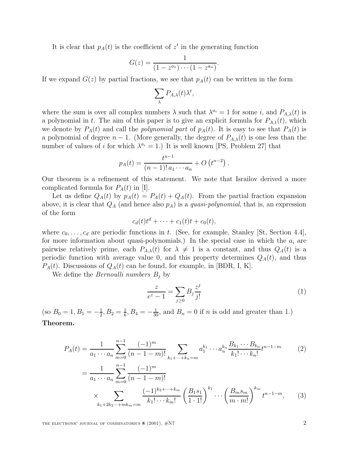It is clear that  $p_A(t)$  is the coefficient of  $z^t$  in the generating function

$$
G(z) = \frac{1}{(1 - z^{a_1}) \cdots (1 - z^{a_n})}.
$$

If we expand  $G(z)$  by partial fractions, we see that  $p<sub>A</sub>(t)$  can be written in the form

$$
\sum_{\lambda} P_{A,\lambda}(t) \lambda^t,
$$

where the sum is over all complex numbers  $\lambda$  such that  $\lambda^{a_i} = 1$  for some i, and  $P_{A,\lambda}(t)$  is a polynomial in t. The aim of this paper is to give an explicit formula for  $P_{A,1}(t)$ , which we denote by  $P_A(t)$  and call the *polynomial part* of  $p_A(t)$ . It is easy to see that  $P_A(t)$  is a polynomial of degree  $n-1$ . (More generally, the degree of  $P_{A,\lambda}(t)$  is one less than the number of values of i for which  $\lambda^{a_i} = 1$ .) It is well known [PS, Problem 27] that

$$
p_A(t) = \frac{t^{n-1}}{(n-1)! a_1 \cdots a_n} + O(t^{n-2}).
$$

Our theorem is a refinement of this statement. We note that Israilov derived a more complicated formula for  $P_A(t)$  in [I].

Let us define  $Q_A(t)$  by  $p_A(t) = P_A(t) + Q_A(t)$ . From the partial fraction expansion above, it is clear that  $Q_A$  (and hence also  $p_A$ ) is a *quasi-polynomial*, that is, an expression of the form

$$
c_d(t)t^d + \cdots + c_1(t)t + c_0(t),
$$

where  $c_0, \ldots, c_d$  are periodic functions in t. (See, for example, Stanley [St, Section 4.4], for more information about quasi-polynomials.) In the special case in which the  $a_i$  are pairwise relatively prime, each  $P_{A,\lambda}(t)$  for  $\lambda \neq 1$  is a constant, and thus  $Q_A(t)$  is a periodic function with average value 0, and this property determines  $Q_A(t)$ , and thus  $P_A(t)$ . Discussions of  $Q_A(t)$  can be found, for example, in [BDR, I, K].

We define the *Bernoulli numbers*  $B_i$  by

$$
\frac{z}{e^z - 1} = \sum_{j \ge 0} B_j \frac{z^j}{j!}
$$
 (1)

(so  $B_0 = 1, B_1 = -\frac{1}{2}, B_2 = \frac{1}{6}, B_4 = -\frac{1}{30}$ , and  $B_n = 0$  if *n* is odd and greater than 1.) **Theorem.**

$$
P_A(t) = \frac{1}{a_1 \cdots a_n} \sum_{m=0}^{n-1} \frac{(-1)^m}{(n-1-m)!} \sum_{k_1 + \cdots + k_n = m} a_1^{k_1} \cdots a_n^{k_n} \frac{B_{k_1} \cdots B_{k_n}}{k_1! \cdots k_n!} t^{n-1-m}
$$
  
\n
$$
= \frac{1}{a_1 \cdots a_n} \sum_{m=0}^{n-1} \frac{(-1)^m}{(n-1-m)!}
$$
  
\n
$$
\times \sum_{k_1 + 2k_2 \cdots + mk_m = m} \frac{(-1)^{k_2 + \cdots + k_m}}{k_1! \cdots k_m!} \left(\frac{B_1 s_1}{1 \cdot 1!}\right)^{k_1} \cdots \left(\frac{B_m s_m}{m \cdot m!}\right)^{k_m} t^{n-1-m},
$$
 (3)

THE ELECTRONIC JOURNAL OF COMBINATORICS **8** (2001),  $\#N7$  2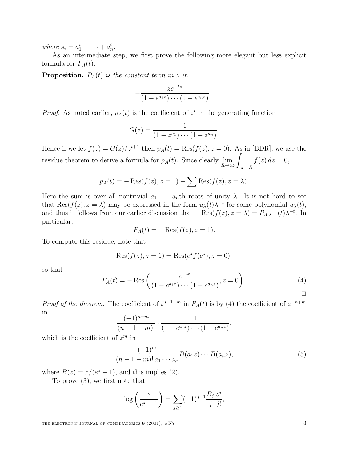where  $s_i = a_1^i + \cdots + a_n^i$ .

As an intermediate step, we first prove the following more elegant but less explicit formula for  $P_A(t)$ .

**Proposition.**  $P_A(t)$  is the constant term in z in

$$
-\frac{ze^{-tz}}{(1-e^{a_1z})\cdots(1-e^{a_nz})}.
$$

*Proof.* As noted earlier,  $p_A(t)$  is the coefficient of  $z^t$  in the generating function

$$
G(z) = \frac{1}{(1 - z^{a_1}) \cdots (1 - z^{a_n})}
$$

Hence if we let  $f(z) = G(z)/z^{t+1}$  then  $p_A(t) = \text{Res}(f(z), z = 0)$ . As in [BDR], we use the residue theorem to derive a formula for  $p_A(t)$ . Since clearly  $\lim_{R\to\infty}\int_{|z|=R}$  $f(z) dz = 0,$ 

$$
p_A(t) = -\operatorname{Res}(f(z), z = 1) - \sum \operatorname{Res}(f(z), z = \lambda).
$$

Here the sum is over all nontrivial  $a_1,\ldots,a_n$ th roots of unity  $\lambda$ . It is not hard to see that Res( $f(z)$ ,  $z = \lambda$ ) may be expressed in the form  $u_{\lambda}(t)\lambda^{-t}$  for some polynomial  $u_{\lambda}(t)$ , and thus it follows from our earlier discussion that  $-$  Res $(f(z), z = \lambda) = P_{A,\lambda^{-1}}(t)\lambda^{-t}$ . In particular,

$$
P_A(t) = -\operatorname{Res}(f(z), z = 1).
$$

To compute this residue, note that

$$
ext{Res}(f(z), z = 1) = \text{Res}(e^{z} f(e^{z}), z = 0),
$$

so that

$$
P_A(t) = -\operatorname{Res}\left(\frac{e^{-tz}}{(1 - e^{a_1 z}) \cdots (1 - e^{a_n z})}, z = 0\right). \tag{4}
$$

.

*Proof of the theorem.* The coefficient of  $t^{n-1-m}$  in  $P_A(t)$  is by (4) the coefficient of  $z^{-n+m}$ in

$$
\frac{(-1)^{n-m}}{(n-1-m)!} \cdot \frac{1}{(1-e^{a_1z})\cdots(1-e^{a_nz})},
$$

which is the coefficient of  $z^m$  in

$$
\frac{(-1)^m}{(n-1-m)! a_1 \cdots a_n} B(a_1 z) \cdots B(a_n z), \tag{5}
$$

where  $B(z) = z/(e^z - 1)$ , and this implies (2).

To prove (3), we first note that

$$
\log\left(\frac{z}{e^z - 1}\right) = \sum_{j \ge 1} (-1)^{j-1} \frac{B_j}{j} \frac{z^j}{j!},
$$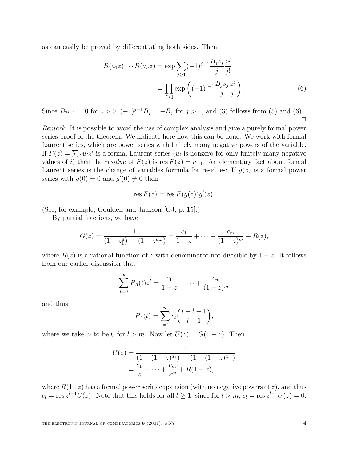as can easily be proved by differentiating both sides. Then

$$
B(a_1 z) \cdots B(a_n z) = \exp \sum_{j \ge 1} (-1)^{j-1} \frac{B_j s_j}{j!} \frac{z^j}{j!}
$$
  
= 
$$
\prod_{j \ge 1} \exp \left( (-1)^{j-1} \frac{B_j s_j}{j!} \frac{z^j}{j!} \right).
$$
 (6)

Since  $B_{2i+1} = 0$  for  $i > 0$ ,  $(-1)^{j-1}B_j = -B_j$  for  $j > 1$ , and (3) follows from (5) and (6).  $\Box$ 

Remark. It is possible to avoid the use of complex analysis and give a purely formal power series proof of the theorem. We indicate here how this can be done. We work with formal Laurent series, which are power series with finitely many negative powers of the variable. If  $F(z) = \sum_i u_i z^i$  is a formal Laurent series  $(u_i$  is nonzero for only finitely many negative values of i) then the *residue* of  $F(z)$  is res  $F(z) = u_{-1}$ . An elementary fact about formal Laurent series is the change of variables formula for residues: If  $g(z)$  is a formal power series with  $g(0) = 0$  and  $g'(0) \neq 0$  then

$$
res F(z) = res F(g(z))g'(z).
$$

(See, for example, Goulden and Jackson [GJ, p. 15].)

By partial fractions, we have

$$
G(z) = \frac{1}{(1-z_1^a)\cdots(1-z^{a_m})} = \frac{c_1}{1-z} + \cdots + \frac{c_m}{(1-z)^m} + R(z),
$$

where  $R(z)$  is a rational function of z with denominator not divisible by  $1-z$ . It follows from our earlier discussion that

$$
\sum_{t=0}^{\infty} P_A(t) z^t = \frac{c_1}{1-z} + \dots + \frac{c_m}{(1-z)^m}
$$

and thus

$$
P_A(t) = \sum_{l=1}^{\infty} c_l \binom{t+l-1}{l-1},
$$

where we take  $c_l$  to be 0 for  $l>m$ . Now let  $U(z) = G(1-z)$ . Then

$$
U(z) = \frac{1}{(1 - (1 - z)^{a_1}) \cdots (1 - (1 - z)^{a_m})}
$$
  
=  $\frac{c_1}{z} + \cdots + \frac{c_m}{z^m} + R(1 - z),$ 

where  $R(1-z)$  has a formal power series expansion (with no negative powers of z), and thus  $c_l = \text{res } z^{l-1}U(z)$ . Note that this holds for all  $l \geq 1$ , since for  $l > m$ ,  $c_l = \text{res } z^{l-1}U(z) = 0$ .